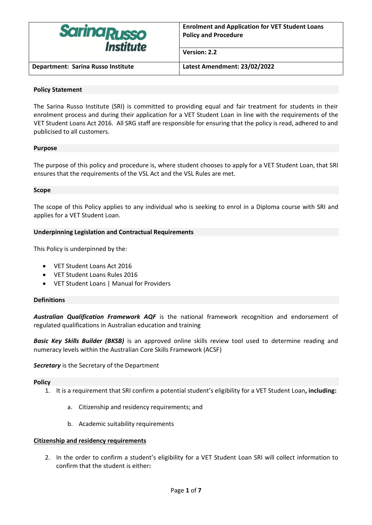

**Version: 2.2**

**Department: Sarina Russo Institute Latest Amendment: 23/02/2022**

## **Policy Statement**

The Sarina Russo Institute (SRI) is committed to providing equal and fair treatment for students in their enrolment process and during their application for a VET Student Loan in line with the requirements of the VET Student Loans Act 2016. All SRG staff are responsible for ensuring that the policy is read, adhered to and publicised to all customers.

## **Purpose**

The purpose of this policy and procedure is, where student chooses to apply for a VET Student Loan, that SRI ensures that the requirements of the VSL Act and the VSL Rules are met.

## **Scope**

The scope of this Policy applies to any individual who is seeking to enrol in a Diploma course with SRI and applies for a VET Student Loan.

## **Underpinning Legislation and Contractual Requirements**

This Policy is underpinned by the:

- VET Student Loans Act 2016
- VET Student Loans Rules 2016
- VET Student Loans | Manual for Providers

## **Definitions**

*Australian Qualification Framework AQF* is the national framework recognition and endorsement of regulated qualifications in Australian education and training

**Basic Key Skills Builder (BKSB)** is an approved online skills review tool used to determine reading and numeracy levels within the Australian Core Skills Framework (ACSF)

*Secretary* is the Secretary of the Department

#### **Policy**

- 1. It is a requirement that SRI confirm a potential student's eligibility for a VET Student Loan**, including:**
	- a. Citizenship and residency requirements; and
	- b. Academic suitability requirements

#### **Citizenship and residency requirements**

2. In the order to confirm a student's eligibility for a VET Student Loan SRI will collect information to confirm that the student is either**:**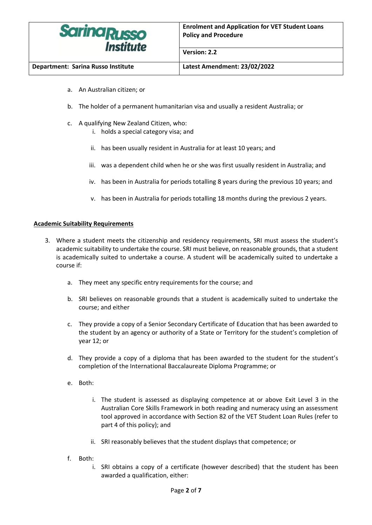

**Department: Sarina Russo Institute Latest Amendment: 23/02/2022**

**Version: 2.2**

- a. An Australian citizen; or
- b. The holder of a permanent humanitarian visa and usually a resident Australia; or
- c. A qualifying New Zealand Citizen, who:
	- i. holds a special category visa; and
	- ii. has been usually resident in Australia for at least 10 years; and
	- iii. was a dependent child when he or she was first usually resident in Australia; and
	- iv. has been in Australia for periods totalling 8 years during the previous 10 years; and
	- v. has been in Australia for periods totalling 18 months during the previous 2 years.

## **Academic Suitability Requirements**

- 3. Where a student meets the citizenship and residency requirements, SRI must assess the student's academic suitability to undertake the course. SRI must believe, on reasonable grounds, that a student is academically suited to undertake a course. A student will be academically suited to undertake a course if:
	- a. They meet any specific entry requirements for the course; and
	- b. SRI believes on reasonable grounds that a student is academically suited to undertake the course; and either
	- c. They provide a copy of a Senior Secondary Certificate of Education that has been awarded to the student by an agency or authority of a State or Territory for the student's completion of year 12; or
	- d. They provide a copy of a diploma that has been awarded to the student for the student's completion of the International Baccalaureate Diploma Programme; or
	- e. Both:
		- i. The student is assessed as displaying competence at or above Exit Level 3 in the Australian Core Skills Framework in both reading and numeracy using an assessment tool approved in accordance with Section 82 of the VET Student Loan Rules (refer to part 4 of this policy); and
		- ii. SRI reasonably believes that the student displays that competence; or
	- f. Both:
		- i. SRI obtains a copy of a certificate (however described) that the student has been awarded a qualification, either: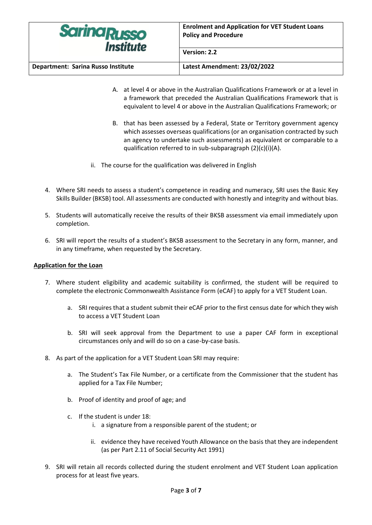

**Version: 2.2**

**Department: Sarina Russo Institute Latest Amendment: 23/02/2022**

- A. at level 4 or above in the Australian Qualifications Framework or at a level in a framework that preceded the Australian Qualifications Framework that is equivalent to level 4 or above in the Australian Qualifications Framework; or
- B. that has been assessed by a Federal, State or Territory government agency which assesses overseas qualifications (or an organisation contracted by such an agency to undertake such assessments) as equivalent or comparable to a qualification referred to in sub-subparagraph (2)(c)(i)(A).
- ii. The course for the qualification was delivered in English
- 4. Where SRI needs to assess a student's competence in reading and numeracy, SRI uses the Basic Key Skills Builder (BKSB) tool. All assessments are conducted with honestly and integrity and without bias.
- 5. Students will automatically receive the results of their BKSB assessment via email immediately upon completion.
- 6. SRI will report the results of a student's BKSB assessment to the Secretary in any form, manner, and in any timeframe, when requested by the Secretary.

# **Application for the Loan**

- 7. Where student eligibility and academic suitability is confirmed, the student will be required to complete the electronic Commonwealth Assistance Form (eCAF) to apply for a VET Student Loan.
	- a. SRI requires that a student submit their eCAF prior to the first census date for which they wish to access a VET Student Loan
	- b. SRI will seek approval from the Department to use a paper CAF form in exceptional circumstances only and will do so on a case-by-case basis.
- 8. As part of the application for a VET Student Loan SRI may require:
	- a. The Student's Tax File Number, or a certificate from the Commissioner that the student has applied for a Tax File Number;
	- b. Proof of identity and proof of age; and
	- c. If the student is under 18:
		- i. a signature from a responsible parent of the student; or
		- ii. evidence they have received Youth Allowance on the basis that they are independent (as per Part 2.11 of Social Security Act 1991)
- 9. SRI will retain all records collected during the student enrolment and VET Student Loan application process for at least five years.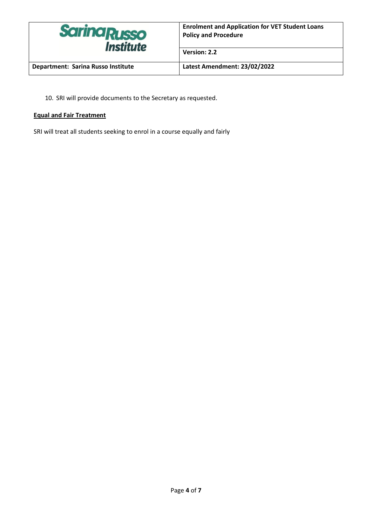

**Department: Sarina Russo Institute Latest Amendment: 23/02/2022**

**Version: 2.2**

10. SRI will provide documents to the Secretary as requested.

# **Equal and Fair Treatment**

SRI will treat all students seeking to enrol in a course equally and fairly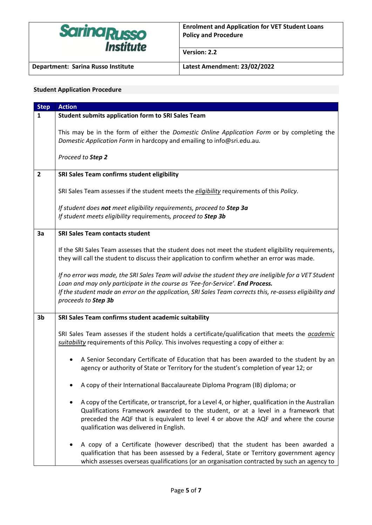

**Version: 2.2**

**Department: Sarina Russo Institute Latest Amendment: 23/02/2022**

# **Student Application Procedure**

| <b>Step</b>    | <b>Action</b>                                                                                                                                                                                                                                                                                                                     |
|----------------|-----------------------------------------------------------------------------------------------------------------------------------------------------------------------------------------------------------------------------------------------------------------------------------------------------------------------------------|
| $\mathbf{1}$   | <b>Student submits application form to SRI Sales Team</b>                                                                                                                                                                                                                                                                         |
|                | This may be in the form of either the Domestic Online Application Form or by completing the<br>Domestic Application Form in hardcopy and emailing to info@sri.edu.au.                                                                                                                                                             |
|                | Proceed to Step 2                                                                                                                                                                                                                                                                                                                 |
| $\overline{2}$ | SRI Sales Team confirms student eligibility                                                                                                                                                                                                                                                                                       |
|                | SRI Sales Team assesses if the student meets the <i>eligibility</i> requirements of this <i>Policy</i> .                                                                                                                                                                                                                          |
|                | If student does not meet eligibility requirements, proceed to Step 3a<br>If student meets eligibility requirements, proceed to Step 3b                                                                                                                                                                                            |
| 3a             | <b>SRI Sales Team contacts student</b>                                                                                                                                                                                                                                                                                            |
|                | If the SRI Sales Team assesses that the student does not meet the student eligibility requirements,<br>they will call the student to discuss their application to confirm whether an error was made.                                                                                                                              |
|                | If no error was made, the SRI Sales Team will advise the student they are ineligible for a VET Student<br>Loan and may only participate in the course as 'Fee-for-Service'. End Process.<br>If the student made an error on the application, SRI Sales Team corrects this, re-assess eligibility and<br>proceeds to Step 3b       |
| 3 <sub>b</sub> | SRI Sales Team confirms student academic suitability                                                                                                                                                                                                                                                                              |
|                | SRI Sales Team assesses if the student holds a certificate/qualification that meets the <i>academic</i><br>suitability requirements of this Policy. This involves requesting a copy of either a:                                                                                                                                  |
|                | A Senior Secondary Certificate of Education that has been awarded to the student by an<br>agency or authority of State or Territory for the student's completion of year 12; or                                                                                                                                                   |
|                | A copy of their International Baccalaureate Diploma Program (IB) diploma; or                                                                                                                                                                                                                                                      |
|                | A copy of the Certificate, or transcript, for a Level 4, or higher, qualification in the Australian<br>٠<br>Qualifications Framework awarded to the student, or at a level in a framework that<br>preceded the AQF that is equivalent to level 4 or above the AQF and where the course<br>qualification was delivered in English. |
|                | A copy of a Certificate (however described) that the student has been awarded a<br>qualification that has been assessed by a Federal, State or Territory government agency<br>which assesses overseas qualifications (or an organisation contracted by such an agency to                                                          |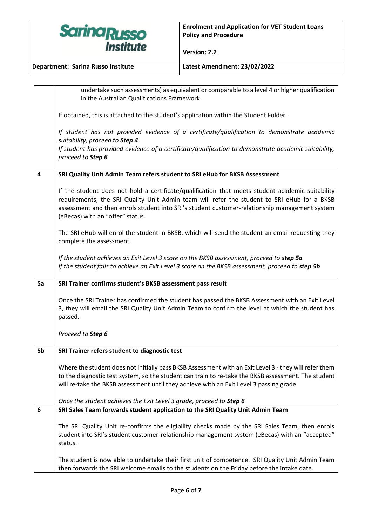

**Version: 2.2**

**Department: Sarina Russo Institute Latest Amendment: 23/02/2022**

|    | undertake such assessments) as equivalent or comparable to a level 4 or higher qualification                                                                                                                                                                                                                                         |
|----|--------------------------------------------------------------------------------------------------------------------------------------------------------------------------------------------------------------------------------------------------------------------------------------------------------------------------------------|
|    | in the Australian Qualifications Framework.                                                                                                                                                                                                                                                                                          |
|    | If obtained, this is attached to the student's application within the Student Folder.                                                                                                                                                                                                                                                |
|    | If student has not provided evidence of a certificate/qualification to demonstrate academic<br>suitability, proceed to Step 4                                                                                                                                                                                                        |
|    | If student has provided evidence of a certificate/qualification to demonstrate academic suitability,<br>proceed to Step 6                                                                                                                                                                                                            |
| 4  | SRI Quality Unit Admin Team refers student to SRI eHub for BKSB Assessment                                                                                                                                                                                                                                                           |
|    | If the student does not hold a certificate/qualification that meets student academic suitability<br>requirements, the SRI Quality Unit Admin team will refer the student to SRI eHub for a BKSB<br>assessment and then enrols student into SRI's student customer-relationship management system<br>(eBecas) with an "offer" status. |
|    | The SRI eHub will enrol the student in BKSB, which will send the student an email requesting they<br>complete the assessment.                                                                                                                                                                                                        |
|    | If the student achieves an Exit Level 3 score on the BKSB assessment, proceed to step 5a<br>If the student fails to achieve an Exit Level 3 score on the BKSB assessment, proceed to step 5b                                                                                                                                         |
| 5a | SRI Trainer confirms student's BKSB assessment pass result                                                                                                                                                                                                                                                                           |
|    | Once the SRI Trainer has confirmed the student has passed the BKSB Assessment with an Exit Level<br>3, they will email the SRI Quality Unit Admin Team to confirm the level at which the student has<br>passed.                                                                                                                      |
|    | Proceed to Step 6                                                                                                                                                                                                                                                                                                                    |
| 5b | SRI Trainer refers student to diagnostic test                                                                                                                                                                                                                                                                                        |
|    | Where the student does not initially pass BKSB Assessment with an Exit Level 3 - they will refer them                                                                                                                                                                                                                                |
|    | to the diagnostic test system, so the student can train to re-take the BKSB assessment. The student                                                                                                                                                                                                                                  |
|    | will re-take the BKSB assessment until they achieve with an Exit Level 3 passing grade.                                                                                                                                                                                                                                              |
|    | Once the student achieves the Exit Level 3 grade, proceed to Step 6                                                                                                                                                                                                                                                                  |
| 6  | SRI Sales Team forwards student application to the SRI Quality Unit Admin Team                                                                                                                                                                                                                                                       |
|    | The SRI Quality Unit re-confirms the eligibility checks made by the SRI Sales Team, then enrols<br>student into SRI's student customer-relationship management system (eBecas) with an "accepted"<br>status.                                                                                                                         |
|    | The student is now able to undertake their first unit of competence. SRI Quality Unit Admin Team<br>then forwards the SRI welcome emails to the students on the Friday before the intake date.                                                                                                                                       |